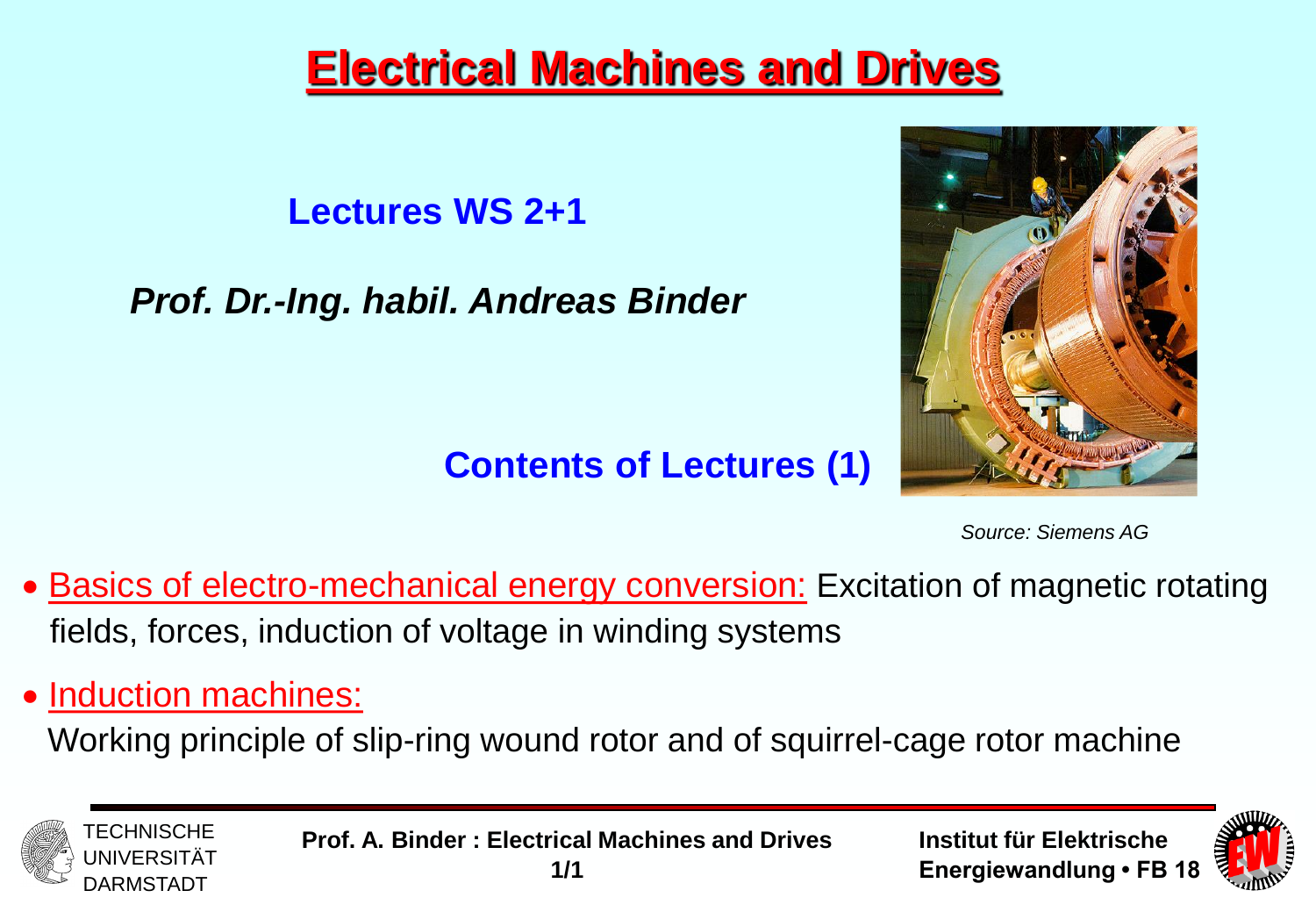# **Electrical Machines and Drives**

**Lectures WS 2+1**

*Prof. Dr.-Ing. habil. Andreas Binder*



**Contents of Lectures (1)**

*Source: Siemens AG*

- Basics of electro-mechanical energy conversion: Excitation of magnetic rotating fields, forces, induction of voltage in winding systems
- Induction machines:

Working principle of slip-ring wound rotor and of squirrel-cage rotor machine





**Prof. A. Binder : Electrical Machines and Drives 1/1**

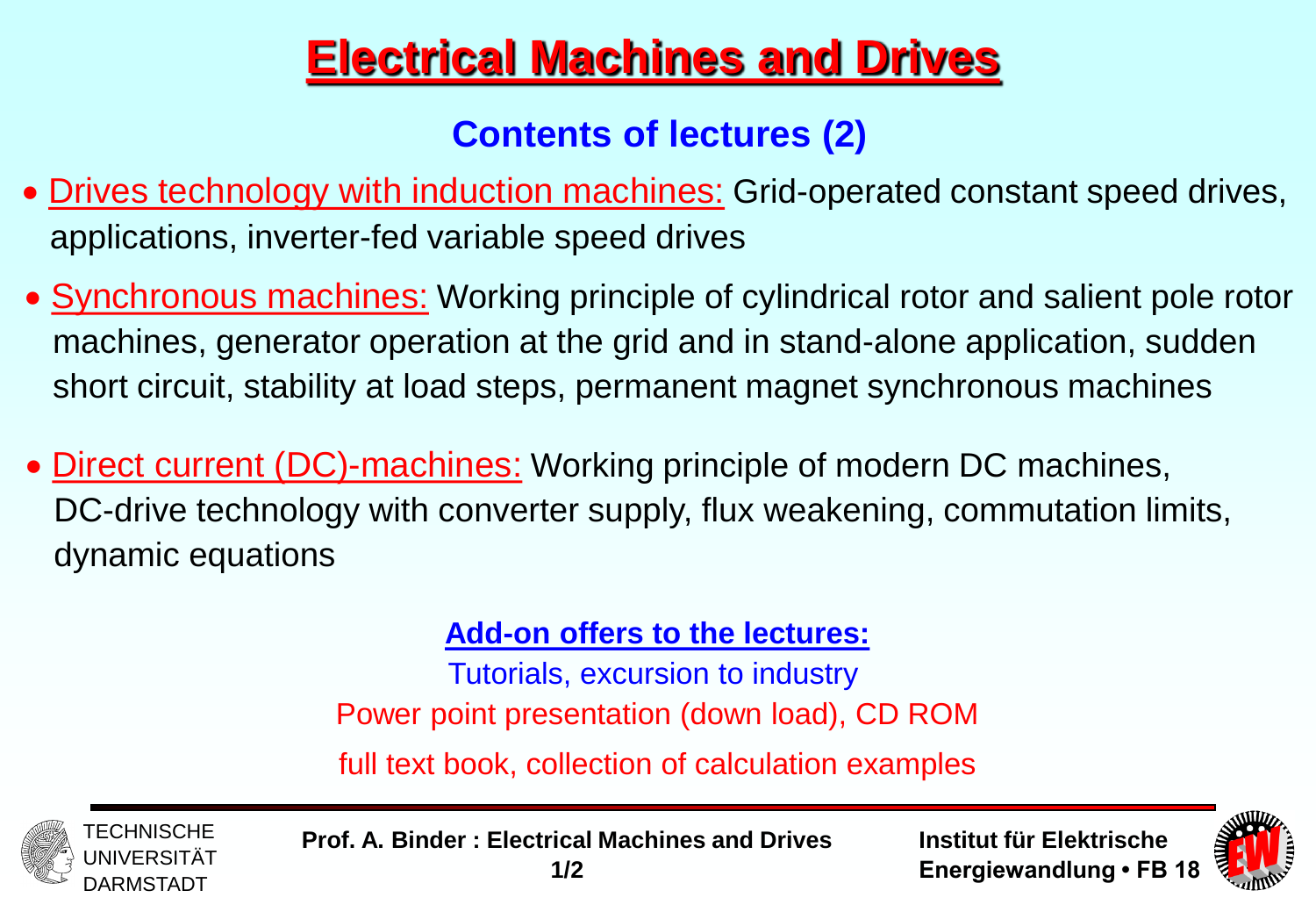# **Electrical Machines and Drives**

### **Contents of lectures (2)**

- Drives technology with induction machines: Grid-operated constant speed drives, applications, inverter-fed variable speed drives
- **Synchronous machines:** Working principle of cylindrical rotor and salient pole rotor machines, generator operation at the grid and in stand-alone application, sudden short circuit, stability at load steps, permanent magnet synchronous machines
- Direct current (DC)-machines: Working principle of modern DC machines, DC-drive technology with converter supply, flux weakening, commutation limits, dynamic equations

#### **Add-on offers to the lectures:**

Tutorials, excursion to industry Power point presentation (down load), CD ROM

full text book, collection of calculation examples





**Prof. A. Binder : Electrical Machines and Drives 1/2**